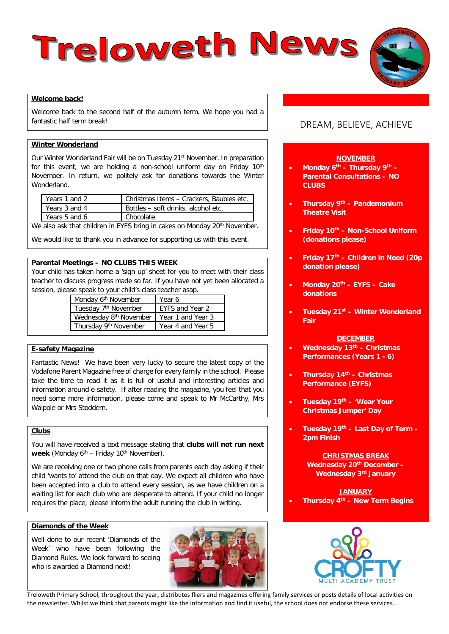# Treloweth News



## **Welcome back!**

Welcome back to the second half of the autumn term. We hope you had a fantastic half term break!

# **Winter Wonderland**

Our Winter Wonderland Fair will be on Tuesday 21<sup>st</sup> November. In preparation for this event, we are holding a non-school uniform day on Friday  $10<sup>th</sup>$ November. In return, we politely ask for donations towards the Winter Wonderland.

| Years 1 and 2 | Christmas Items - Crackers, Baubles etc. |
|---------------|------------------------------------------|
| Years 3 and 4 | Bottles - soft drinks, alcohol etc.      |
| Years 5 and 6 | Chocolate                                |

We also ask that children in EYFS bring in cakes on Monday 20<sup>th</sup> November.

We would like to thank you in advance for supporting us with this event.

# **Parental Meetings – NO CLUBS THIS WEEK**

Your child has taken home a 'sign up' sheet for you to meet with their class teacher to discuss progress made so far. If you have not yet been allocated a session, please speak to your child's class teacher asap.

| $50$ opeant to your crime of sides todorion double |                   |  |  |  |  |
|----------------------------------------------------|-------------------|--|--|--|--|
| Monday 6 <sup>th</sup> November                    | Year 6            |  |  |  |  |
| Tuesday 7 <sup>th</sup> November                   | EYFS and Year 2   |  |  |  |  |
| Wednesday 8 <sup>th</sup> November                 | Year 1 and Year 3 |  |  |  |  |
| Thursday 9th November                              | Year 4 and Year 5 |  |  |  |  |

# **E-safety Magazine**

Fantastic News! We have been very lucky to secure the latest copy of the Vodafone Parent Magazine free of charge for every family in the school. Please take the time to read it as it is full of useful and interesting articles and information around e-safety. If after reading the magazine, you feel that you need some more information, please come and speak to Mr McCarthy, Mrs Walpole or Mrs Stoddern.

### **Clubs**

You will have received a text message stating that **clubs will not run next**  week (Monday 6<sup>th</sup> – Friday 10<sup>th</sup> November).

We are receiving one or two phone calls from parents each day asking if their child 'wants to' attend the club on that day. We expect all children who have been accepted into a club to attend every session, as we have children on a waiting list for each club who are desperate to attend. If your child no longer requires the place, please inform the adult running the club in writing.

# **Diamonds of the Week**

Well done to our recent 'Diamonds of the Week' who have been following the Diamond Rules. We look forward to seeing who is awarded a Diamond next!



# DREAM, BELIEVE, ACHIEVE

# **NOVEMBER**

- **Monday 6th – Thursday 9th – Parental Consultations – NO CLUBS**
- **Thursday 9th – Pandemonium Theatre Visit**
- **Friday 10th – Non-School Uniform (donations please)**
- **Friday 17th – Children in Need (20p donation please)**
- **Monday 20th – EYFS – Cake donations**
- **Tuesday 21st – Winter Wonderland Fair**

#### **DECEMBER**

• **Wednesday 13th – Christmas Performances (Years 1 - 6)**

- **Thursday 14th – Christmas Performance (EYFS)**
- **Tuesday 19th – 'Wear Your Christmas Jumper' Day**
- **Tuesday 19th – Last Day of Term – 2pm Finish**

#### **CHRISTMAS BREAK**

**Wednesday 20th December – Wednesday 3rd January**

**JANUARY** • **Thursday 4th – New Term Begins** 



Treloweth Primary School, throughout the year, distributes fliers and magazines offering family services or posts details of local activities on the newsletter. Whilst we think that parents might like the information and find it useful, the school does not endorse these services.